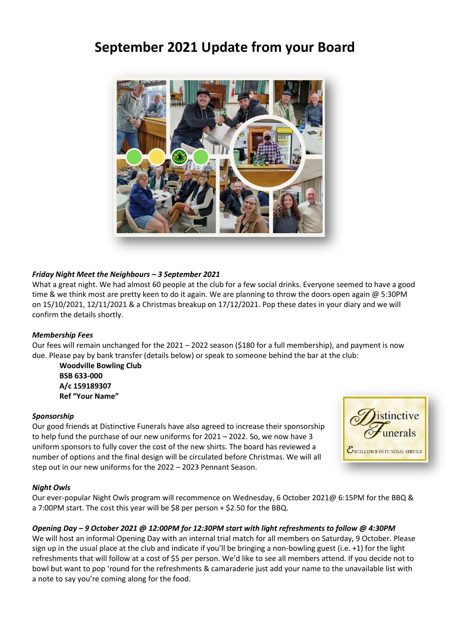# **September 2021 Update from your Board**



# *Friday Night Meet the Neighbours – 3 September 2021*

What a great night. We had almost 60 people at the club for a few social drinks. Everyone seemed to have a good time & we think most are pretty keen to do it again. We are planning to throw the doors open again @ 5:30PM on 15/10/2021, 12/11/2021 & a Christmas breakup on 17/12/2021. Pop these dates in your diary and we will confirm the details shortly.

## *Membership Fees*

Our fees will remain unchanged for the 2021 – 2022 season (\$180 for a full membership), and payment is now due. Please pay by bank transfer (details below) or speak to someone behind the bar at the club:

**Woodville Bowling Club BSB 633-000 A/c 159189307 Ref "Your Name"**

#### *Sponsorship*

Our good friends at Distinctive Funerals have also agreed to increase their sponsorship to help fund the purchase of our new uniforms for 2021 – 2022. So, we now have 3 uniform sponsors to fully cover the cost of the new shirts. The board has reviewed a number of options and the final design will be circulated before Christmas. We will all step out in our new uniforms for the 2022 – 2023 Pennant Season.



## *Night Owls*

Our ever-popular Night Owls program will recommence on Wednesday, 6 October 2021@ 6:15PM for the BBQ & a 7:00PM start. The cost this year will be \$8 per person + \$2.50 for the BBQ.

#### *Opening Day – 9 October 2021 @ 12:00PM for 12:30PM start with light refreshments to follow @ 4:30PM*

We will host an informal Opening Day with an internal trial match for all members on Saturday, 9 October. Please sign up in the usual place at the club and indicate if you'll be bringing a non-bowling guest (i.e. +1) for the light refreshments that will follow at a cost of \$5 per person. We'd like to see all members attend. If you decide not to bowl but want to pop 'round for the refreshments & camaraderie just add your name to the unavailable list with a note to say you're coming along for the food.